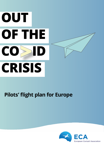# **OUT OF THE CO CRISIS**

### **Pilots' flight plan for Europe**

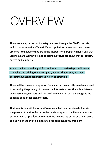## OVERVIEW

There are many paths our industry can take through the COVID-19 crisis, which has profoundly affected, if not crippled, European aviation. There are very few however that are in the interests of Europe's citizens, and that lead to a safe, worthwhile and sustainable future for all whom the industry serves and supports.

To do so will take active political and industrial leadership. It will mean choosing and driving the better path, not 'waiting to see', not just accepting what happens without vision or direction.

There will be a severe temptation for some, particularly those who are used to assuming the primacy of commercial interests – over the public interest, over customers, workers and the environment – to seek advantage at the expense of all other stakeholders.

That temptation will be to sacrifice or cannibalise other stakeholders in the pursuit of quick relief or profits. Such an approach will undermine the society that has previously tolerated the many faces of the aviation sector, and to which the aviation industry is responsible. It will fragment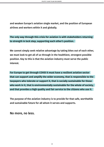and weaken Europe's aviation single market, and the position of European airlines and workers within it and globally.

The only way through this crisis for aviation is with stakeholders returning to strength in lock step, supporting each other's position.

We cannot simply seek relative advantage by taking bites out of each other, we must look to get all of us through in the healthiest, strongest possible position. Key to this is that the aviation industry must serve the public interest.

For Europe to get through COVID it must have a resilient aviation sector that can support and amplify the wider economy, that is responsible to the taxpayers who tolerate or support it, that is socially sustainable for those who work in it, that is environmentally sustainable for the whole of society, and that provides a high quality and fair service to the citizens who use it.

The purpose of the aviation industry is to provide for that safe, worthwhile and sustainable future for all whom it serves and supports.

No more, no less.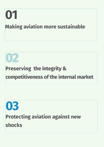

## **02**

### **Preserving the integrity & [competitiveness of the internal market](#page-10-0)**

### **03 [Protecting aviation against new](#page-20-0)  shocks**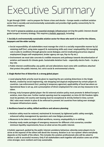## [Executive Summary](#page-5-0)

To get through COVID – and to prepare for future crises and shocks – Europe needs a resilient aviation sector that is socially and environmentally sustainable and provides high quality connectivity for its citizens and regions.

The need to preserve aviation as an essential strategic infrastructure serving the public interest should guide Europe's recovery strategy. This requires a holistic approach, including:

#### **1. Socially & environmentally sustainable aviation sector for those who work in it and for the citizens, taxpayers and the wider society:**

- » Social responsibility: all stakeholders must manage the crisis in a socially responsible manner by (a) retaining staff (incl. using state support) & maintaining skills and crews' employability; (b) managing cuts in jobs & conditions through genuine social dialogue; and (c) eradicating precarious atypical employment (bogus self-employment, broker agency set-ups, Pay-to-Fly etc.).
- » Environment: we must take concrete & credible measures and pathways towards decarbonisation of aviation and towards EU climate goals. Sustainable Aviation Fuels – especially electro fuels – to play a key role.
- » Public interest conditionality: any public aid and alleviations must come with conditions attached that protect the public interest, incl. strict social & environmental criteria.

#### **2. Single Market free of distortion & a strong global player:**

- » Level playing field: priority must be given to repairing the pre-existing distortions in the Single Market, created by social engineering, rule shopping and atypical employment by certain players & countries. Law enforcement (incl. posting & temporary agencies), applicability of local law where an Operational Base is set up, and a presumption of direct employment for crew are key measures to be taken.
- » Strong, truly European global player: the EU external aviation policy must promote & defend Europe's aviation, more than ever. Further market opening must be suspended, no intra-EU 5th freedom rights must be granted, 3rd country wet-leasing must be exceptional & strictly limited in time; current O&C rules must remain in place & be enforced to prevent 3rd countries from taking over strategic European infrastructure assets.

#### **3. Resilience based on safety, skilled workforce and advance planning:**

- » Aviation safety must be restored, maintained & increased, by tightened public safety oversight, enhanced safety management by operators and crew fatigue prevention.
- » Measures to be taken to retain skilled workforce, recency, employability & re-skilling.
- » Develop ready-made packages of emergency measures for different crisis scenarios; consider minimum liquidity requirements; focus on what serves the public interest.

A holistic approach, guided by the public interest: predatory behaviour, whereby some players try to strive at the expense of the others will derail the recovery. Aviation is an 'eco-system' where everybody depends on the health of the others. This includes the aviation professionals who will be asked to deliver a safe & successful recovery. Only if all stakeholders work together will aviation come out of this crisis stronger, more resilient and truly sustainable.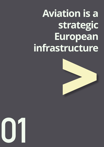## <span id="page-5-0"></span>**Aviation is a strategic European infrastructure**



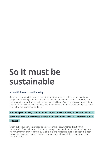### **So it must be sustainable**

#### 1.1. Public interest conditionality

Aviation is a strategic European infrastructure that must be able to serve its original purpose of providing connectivity both for persons and goods. This infrastructure is a public good, and part of the wider economy's backbone. Given the physical footprint and interaction of aviation with everyday life, the industry is tolerated or encouraged because it is in the public interest to do so.

Employing the industry's workers in decent jobs and contributing in taxation and social

contributions to public services are also major benefits of the sector in terms of public

#### interest.

When public support is provided to airlines in this crisis, whether directly from taxpayers in financial form, or indirectly through the amendment or waiver of regulatory frameworks that exist to govern aviation's role and responsibilities in society, it is both logical and essential that this support should come with conditions that protect the public interest.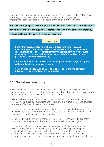Pilots and crew were willing and even proud to put themselves at risk during the crisis, delivering "home" essential medical and PPE supplies for the fight against COVID, or repatriating citizens stranded by the closure of the borders and flying bans.

The crisis has highlighted the strategic nature of aviation as an essential infrastructure

and reinforced the need to support it – not for the sake of it, but because connectivity

is essential to our citizens, workers and our economy.

#### **SOLUTIONS**

- » During the recovery phase where there is a need for active or passive financial support; this support needs to be made conditional on a number of criteria, including social responsibility toward workers, striving for adequate employment protection, healthy employment conditions, and walking the path to environmental sustainability.
- » These commitments must be concrete, binding, and enforceable, with support withdrawal and sanctions, as necessary.
- » Amendment and alleviation of EU regulations, of operating and of market rules must come with this same conditionality.

#### 1.2. Social sustainability

Social sustainability is not only one of the essential elements of the smart recovery, it is among the founding premises of the European Union. It must be considered as a central pillar when planning the recovery measures for aviation.

Social sustainability is achieved by ensuring that the conditions and treatment of workers, by employers, social systems and labour law is fair, predictable, and balances the interest of both employers and employees.

It is achieved by clear and sufficient labour rights; the presence of labour monitoring, and access in practice to enforcement and redress; the presence of trade unions and social dialogue; and being part of social safety nets.

It is indicated by sufficient levels of labour rights; the presence of health and safety protection in the workplace; and respect of fundamental and human rights.

It is compromised and contra-indicated by the presence of fake, undeclared, or mischaracterised working relationships such as (bogus) self-employment; poor or absent collective representation; difficulty in determining which employment regulations or frameworks apply to a worker; lack of parental and sickness rights; precarious employment relationships; avoidance or minimisation of social contributions;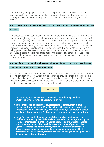and arms-length employment relationships, especially where employer directions, applicable rules, or responsibility and accountability lines come from outside the country a worker is based in, or go via or stop with an intermediary (e.g. a broker agency).

#### The COVID crisis has revealed the effects of precarious atypical employment on aviation

#### workers.

The employees of socially responsible employers are affected by the crisis but enjoy a minimum social protection that pilots on zero hours, broker agency contracts, pay to fly schemes and (bogus) self-employment do not have. Thousands of pilots are unemployed and without social coverage because they have been working for EU airlines through complex social engineering systems that deprive them of social protection, and Member States of their social security and income tax revenues. The rights of these pilots are being ignored: salaries have not been paid, notice periods are not respected, access to collective bargaining are non-existent and the precarious situation deprives those workers of fundamental rights such as the right to family life and access to minimum living standards.

#### The use of precarious atypical air crew employment forms by certain airlines distorts

#### competition within Europe's aviation market

Furthermore, the use of precarious atypical air crew employment forms by certain airlines distorts competition within Europe's aviation market, providing those airlines an undue competitive edge over socially responsible airlines that employ their crews directly and respect the laws of the country where the crews are based. Only this latter model can be considered sustainable and as being in the wider public interest.

- » The recovery must be used to strictly limit and ultimately eliminate precarious atypical forms of aircrew employment.
- » In the meantime, social risk of atypical forms of employment must be closely monitored and/or swiftly phased out. Aircrews should have local contracts in the place where they are based directly, or temporarily through locally registered agencies. Posting of aircrew should be closely monitored.
- » The legal framework of employment status and classification must be clarified to ensure highly mobile workers in aviation can always identify the reality of their situation, that some rules apply to it, and what those rules are. It must not be possible to fall between the cracks of posting rules, agency work rules and normal employment. In commercial air transport direct employment must always be the assumed default relationship (i.e. presumption of direct employment) unless facts on the ground and proven by the employer indicate otherwise.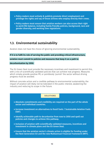- » Policy makers must actively & publicly promote direct employment and privilege the rights and say of those airlines who employ directly their crews.
- » Policy makers must ensure that aviation workers can also access their right to work/life balance, including family friendly policies, background, race and gender diversity, and working time regulations.

#### 1.3. Environmental sustainability

Aviation does not have the choice of ignoring environmental sustainability.

If it is to fulfil its role of serving the public and providing critical infrastructure,

aviation must commit to policies and measures that keep it on a path to

decarbonisation by 2050.

The EU Green Deal must provide the necessary incentives and investment to permit this, with a mix of scientifically validated policies that can achieve real progress. Measures which simply provide positive PR, or pointlessly 'punish' the sector without driving progress must be avoided.

Without concrete action and a credible pathway to environmental sustainability, the impact of aviation will likely not be tolerated in the public interest, weakening the industry and reducing its scope in the future.

- » Absolute commitments and credibility are required on the part of the whole sector and individual countries.
- » Increase investment on alternatives to fossil fuels / Sustainable Aviation Fuels (SAF).
- » Identify achievable path to decarbonise from now to 2050 and spell out policies and changes to achieve this pathway.
- » Inclusion of aviation with scientifically validated measures, incentives and investment in climate plans and the EU Green Deal.
- » Ensure that the aviation sector's climate action is eligible for funding under the Next Generation EU and the new Multiannual Financial Framework (MFF).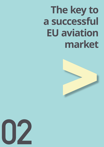## <span id="page-10-0"></span>**The key to a successful EU aviation market**



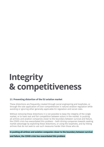### **Integrity & competitiveness**

#### 2.1. Preventing distortion of the EU aviation market

These distortions are frequently created through social engineering and loopholes, or through the sole application of (non-comprehensive in nature) aviation regulation while avoiding or ignoring other generally applicable EU regulation and social rules.

Without removing these distortions it is not possible to keep the integrity of the single market, or to have real and fair competition between actors in the market. In pushing all airlines and aviation companies closer to the boundary between survival and failure, the COVID crisis has exacerbated this problem – both driving companies towards seeking market advantage by exploiting these distortions, or using the loopholes, and by hitting airlines that do not seek to use such measures harder than those who do.

In pushing all airlines and aviation companies closer to the boundary between survival and failure, the COVID crisis has exacerbated this problem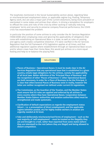The loopholes mentioned in the Social Sustainability section above, regarding false or mischaracterised employment status, or applicable regime (e.g. Posting, Temporary Agency work, etc) are also a major part of the current distortions, being more prevalent or overlooked in some states and airlines than others. In driving a temptation for employers to offload the costs and risks of the crisis by either sacking or radically reducing employees' terms and security to preserve company financial performance, the COVID crisis has exacerbated the problem.

In particular the position of some airlines to only consider the Air Services Regulation (1008/2008) when employing crews and ignoring the applicability of obligations that come with establishing an Operational Base in a state, as well as rules on posting and agency work creates competitive distortion. If it were clarified in the Air Services Regulation that the full framework of EU legislation applies at all times, and that additional regulation applies where establishment through an Operational Base occurs and/or where crews have their Home Base, this would put airlines on a more equal footing and help to re-balance the playing field.

- » Places of Business = Operational Bases: it must be made clear in the Air Services Regulation that any operational base that is established in a given country, entails legal obligations for the airlines, namely the applicability of all local laws. Better definition of the 'Principal Place of Business' and the recognition of other 'Places of Business' (= other Operational Bases) are both necessary. In order for a Place of Business to be the Principal, it is clear that other/several Places of Business exist in reality, however the latter are neither recognised nor defined under current EU regulations.
- » The Commission, as the Guardian of the Treaties, and the Member States must ensure that EU rules are applied and enforced by all airlines in every country where they have Operational Bases. Cooperation between Member States (labour authorities and aviation authorities alike) must be strengthened and made systematic.
- » Clarification of default expectations as regards the employment status (direct – i.e. a presumption of direct employment), and the applicable regime (whether posted, etc) for highly mobile workers in aviation are urgently needed at EU level.
- » Fake and deliberately mischaracterised forms of employment such as the vast majority of 'self-employment' – must be treated as the illegality they are and brought to a halt, rather than exported from some states (where they are tolerated) to the rest (where they are illegal) and being allowed to distort competition.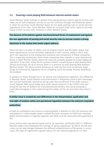#### **2.2. Ensuring a level playing field between internal market states**

Some Member States tolerate or abstain from taking decisive actions against airlines that make use of 'self-employed' aircrew on non-EU contracts through intermediaries based in other EU countries. Some Member States do not apply posting rules or social security regulations to air crew. Some Member States do not grant trade union rights to aircrews based in their country with contracts in other Member States.

The absence of EU policies against mischaracterised forms of employment and against

the non-application of posting and social security rules to aircrew creates a strong

#### distortion in the market that needs urgent address.

There are also a number of states, such as Ireland, Poland and the Baltic states, that when regulating air service providers registered in their country, adopt a 'don't look, don't see' approach to the employment practices and compliance of these companies. This is especially problematic when these companies then operate or open Operational Bases in other Member States where the rules are properly applied to locally registered operators. To be clear, today the EU aviation market is anything but a level playing field, almost structurally set up to ensure there is in practice no level playing field between Member States. This drives airline behaviour to seek out the most convenient states (Flags of Convenience, regulatory forum shopping, social dumping), thereby amplifying the problem.

In addition to these divergences in air service and employment regulation, the difference in Member States' social taxation and enforcement is frequently used to gain advantage, with aircrew technically claimed as being under the jurisdiction of the least onerous social regimes. With social safety nets under severe pressure in the COVID crisis and being the last line of defence for many abandoned workers, this social dumping is especially damaging. It risks undermining that safety net for all, just when they need it most.

#### A similar issue is created by vast differences in the interpretation, application and

#### oversight of aviation safety and operational regulation between the national competent

#### authorities.

As well as competence and resource varying greatly in addition to this, the resource and competency in a few notable states is below the level necessary to fulfil their mandate. Better harmonisation is urgently required, and EASA must be resourced and supported in this.

Some airlines with operational bases and/or air operation certificates (AOC) in different Member States have developed the concept of "group operations" by which aircraft and crews can be interchanged between the different establishments of the group. In some cases, this type of organisation ignores labour EU and national legislation on intra-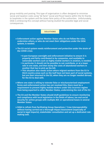group mobility and posting. This type of organisation is often designed to minimise social and taxation costs using "de facto" social and fiscal havens within the EU thanks to loopholes in the system and the laisez-faire policy of the authorities. Unfortunately, EASA is embracing this concept without having studied the possible legal and social consequences.

- » Enforcement action against Member States who do not follow the rules, undermine others, or who do not meet their obligations under the EASA system, is needed.
- » The EU social system needs reinforcement and protection under the strain of the COVID crisis:
	- § A pan-European oversight and enforcement initiative to ensure it is properly and fairly contributed to by companies, and available to vulnerable workers such as highly mobile workers in aviation, is needed.
	- § In particular it should not be possible to not contribute, or at a lower rate in one state, and then dump the costs of abandoned workers in another that has to pick up the bill.
	- § This situation also needs action where migrant workers from the EU in third country areas such as the Gulf have not been part of social systems, but are then returned to the EU, when they are no longer needed abroad, for the EU to deal with.
- » Where one state is willing to tolerate false or mischaracterised employment forms and enforcement action has not resolved this, there must be a requirement to prevent highly mobile workers under this incorrect regime from being exported to other Member States, undermining the rest of the EU.
- » The EU and the Member States should draft guidelines to ensure monitoring and compliance with local legislation in the fields of labour, tax and social security for airline groups with multiple AOC or operational bases in several Member States
- » EASA to refrain from facilitating Group Operations / Crew Interoperability without having carried out a thorough Impact Assessment (especially of social & legal impacts), stakeholder consultation and set up a dedicated rulemaking task.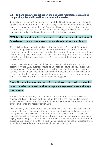#### **2.3. Full and consistent application of air services regulation, state aid and competition rules within and into the EU aviation market**

As highlighted above in 'Preventing distortion of the EU aviation market' there is partial or inconsistent application of the Air Services Regulation within and into the EU aviation market. In particular, a failure to treat Operational Bases in countries other than an airline's home state as establishments under the meaning of the EU Treaties, can be damaging for workers, and regulatory oversight, as previously discussed.

#### COVID has also brought into focus the current restrictions on state aid, and their need

#### for revision to cope with the necessary support when the industry is in distress.

The crisis has shown that aviation is a critical and strategic European infrastructure, as well as uniquely vulnerable to a pandemic. It is therefore crucial that state aid restrictions are made fit for purpose, including the removal of undue restrictions, the use of conditionality to ensure appropriate behaviour from recipients, and a greater role for Public Service Obligations, especially as COVID has revealed the criticality of the public service provided.

State aid rules and Public Service Obligations rules applicable to the air transport sector during the COVID outbreak should be amended to ensure a socially sustainable recovery. As part of the preconditions for receiving the aid, airlines should present a socially sustainable plan, including a commitment to preserve jobs, the conclusion of an agreement with the social partners at the appropriate level and the termination of atypical employment contracts and social engineering practices.

#### Finally, EU competition regulation and enforcement has a role to play in ensuring that

#### those companies that do seek unfair advantage at the expense of others are brought

#### back into line.

This kind of unfair advantage can often be hidden and diffuse, such as the social engineering discussed above, or the use of hidden rather than open and structured subsidy – often hidden on a regional, distributed source such as chambers of commerce or tourism boards, or airport by airport level.

Over the past years, certain airlines, mostly in the low-cost sector benefitted from state support in the form of guarantee for cheap loans and thus facilitated access to fresh money. Equally, they have been benefitting from artificially low airport charges and financial support e.g. from local tourism authorities, whilst network carriers have been paying airport charges at usual market rate and are not benefitting from local authorities' subsidies. Such support distorts competition and should be stopped, or at least it should also follow the criteria of social sustainability as described above.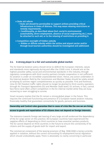#### **SOLUTIONS**

#### » State aid reform

- § State aid should be permissible to support airlines providing critical infrastructure in times of distress. This may mean relaxing restrictions or remedy requirements.
- § Conditionality, as described above (incl. social & environmental sustainability, direct employment, absence of social engineering etc.), must be attached to such aid, or to the relaxing of restrictions on providing it.

#### » Competition oversight of hidden subsidy

■ Hidden or diffuse subsidy within the airline and airport sector and/or through local tourism authorities should be investigated and addressed.

#### **2.4. A strong player in a fair and sustainable global market:**

The EU External Aviation policy should strive to defend the European interests, values and standards more vigorously during and after the COVID crisis. It should aim at the highest possible safety, social and environmental standards in the industry, through regulatory convergence with third country partners (simple cooperation is not sufficient). EU aviation is under an incredible unprecedented strain. Hence, any action undertaken in the External Aviation field by the Commission and Member States should be solely aimed at helping EU airlines regain competitiveness as quickly as possible. First and foremost, intra-EU 5th freedom traffic rights should no longer be granted to third country operators through Air Transport Agreements (EU and Member State level). EU airlines, in fact, cannot face fierce (and often unfair) competition in the EU internal market while they are busy recovering or even struggling to survive.

Smart recovery implies that the EU remain a strong global player in the future. This requires the continued functioning and presence of a European-based aviation industry, financially healthy that guarantees connectivity for goods, persons and business.

#### Ownership and Control rules guarantee that in cases of crisis like the one we are living,

#### access to goods and repatriation of EU citizens does not depend on foreign interests.

The tolerance towards foreign wet leasing of very large aircraft evidenced the dependency of the EU cargo sector on this practice. All European countries have experienced the negative effects of depending on third countries to have essential sanitary products. The EU cannot depend on third countries in the future to ensure the connectivity of its citizens and the supply of goods both for import and export.

The commercial component of the leasing provision of Reg. 1008/2008 is being currently applied in isolation, without the correct surrounding EU employment/social regulation which should undoubtedly apply. There is absolutely no clarity concerning in particular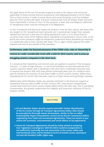the legal status of the non-EU worker/migrant as well as the labour and social law applicable to these aircrew that are temporarily sent/deployed/posted to an EU State from a third country. In order to avoid abuse and social dumping, a red line between genuine 'third country wet lease' and pure 'outsourcing' must be always drawn and even more importantly in times of crisis. To this purpose, a clear and unambiguous definition of 'exceptional need' must be introduced in EU Regulation.

In fact, if seasonal and technical needs are limited in time by their nature, wet lease that are sought on the 'exceptional need' grounds can in practise last longer than actually needed and become a new way of cutting operational costs. It is no secret that EU countries have some of the highest labour standards and protections, hence costs, in the world and some operators might be tempted to undermine these standards by resorting in a systematic way to third country wet-lease. This is, again, totally against the public interest and only to the benefit of few operators.

#### Furthermore, under the financial pressures of the COVID crisis, rules on Ownership &

#### Control are under considerable strain with a wish for third country cash to prop up

#### struggling aviation companies in the short term.

It is essential that Ownership and Control rules are applied in practice if the European industry – in state of high distress – is not to be hollowed out and discarded by third country interests. Whilst cash is tempting in the short term, investment amounts near or beyond the present 49% limit have almost universally been part of a medium-term plan to reinforce the position of and direct traffic to third country carriers, before then liquidating the EU carrier, that had been used as a Trojan horse serving foreign interests.

Additionally, whilst Member States are severely restricted in the financial support or investment they are able to offer to their airlines, O&C rules permit comparatively unrestricted input from third country states (albeit within the 49% cap). This is manifestly unreasonable, and greatly undermines the integrity and long-term resilience of the EU aviation market.

- » EU and Member States should suspend and defer further liberalisation of the EU market through Air Transport Agreements (ATAs). ATAs should be preceded by thorough Impact Assessment, similar to the so-called Sustainability Impact Assessments carried out by the EU Commission before negotiating Free Trade and Investment Agreements. These are meant to preassess the economic, environmental and social effects of any Agreement.
- » Future Air Transport Agreements should be solely aimed at achieving true 'regulatory convergence' with the third countries (cooperation is not sufficient), especially, but not exclusively, in the social, safety and environmental areas and be limited in terms of market access opening to 3rd and 4th freedom traffic rights only.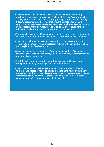- » The EU Commission and Member States should commit to promoting a much more coordinated approach in the field of External Aviation. Member States, for instance, should refrain from granting to third countries through bilateral agreements traffic rights that affect the whole internal market (e.g. Ethiopian Airlines can currently fly between Helsinki and Dublin). When such decisions are to be made, coordination at EU level should be the bare minimum requisite, and a public interest test be carried out.
- » The Commission and the Member states should reconfirm their commitment to current EU rules on airlines' Ownership & Control remaining as they are.
- » The actual position of all airlines' Ownership & Control status must be continually monitored, with a transparent register of Beneficial Ownership, and a register of Effective Control.
- » A mechanism to restore breaches of the rule to a position of compliance is required, either based on sanctions, automatic remedies, or enforcement of operating licence conditions.
- » The EU must restrict / promote support measures in public interest vs unregulated opening for foreign capital/state influence.
- » Third country wet lease should continue to be exceptional, justified by technical and seasonal needs and limited in time as to never create an EU dependency on third country fleets or a new way to cut operational costs by circumventing EU and Member States social legislation, that is, in some EU countries, one of the most protective in the world.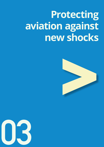## **Protecting aviation against new shocks**



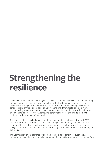### <span id="page-20-0"></span>**Strengthening the resilience**

Resilience of the aviation sector against shocks such as the COVID crisis is not something that can simply be decreed. It is a characteristic that will emerge from systems and measures affecting different aspects of the sector – most of these being described in other sections of this plan. In general however, making different stakeholders more robust, having a balanced share in the aviation value chain, and in a position whereby any given stakeholder is not vulnerable to other stakeholders shoring up their own positions at the expense of one another.

The effects of the crisis had an overwhelming immediate effect on aviation with 90% of planes grounded, and the recovery will last longer than in many other sectors of the economy. This is not unexpected, and can be planned for in the future. There is a need to design systems for both systemic and extraordinary crises to ensure the sustainability of the industry.

The Commission often identifies social dialogue as a key element for sustainable recovery. Yet, some business models, particularly in some Member States and certain (low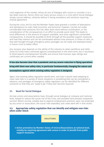cost) segments of the market, refuse all sort of dialogue with unions or consider it as a top-down exercise. Hence, there are many serious issues in a crisis which Social Dialogue simply cannot address, certainly without it being mandatory and solutions requiring mutual agreement.

During the crisis, the EU and the Member States have granted a number of alleviations and exemptions to rules, both economic and technical. However, carried out under considerable time-pressure, this has often been done without coordination, or full consideration of the consequences in an effort to provide quick relief. This leads to local differences in the amount of support available, and some significant unintended consequences. It should be possible to think through all the possible support measures and how they interact and can be coordinated without time pressure, in times of calm, so that well thought through emergency policy packages can be ready and deployed easily in future crisis to better effect.

Any recovery also depends on the ability of the industry to retain workforce and skills. Some EU funds have cushioned against unemployment in the short term, but it necessary to think beyond unemployment benefits and ensure that licenses, type ratings and certificates are current when needed.

#### It has also become clear that a pandemic and any severe reduction in flying operations

#### bring with them new safety risks, in particular fundamentally changing the nature and

#### assumptions against which existing safety regulation is designed.

Again, how existing safety regulation would work, and how it would need adapting to cover new risks in a variety of shock situations is something that can be considered in advance, and packages of emergency safety regulation can be identified for different scenarios so that they are 'ready to go' if they ever become required.

#### 3.1. Need for Social Dialogue

Aircrew unions and associations have, through social dialogue at company and national level, helped to reduce the social risk of the crisis, and assisted hard pressed companies' survival. Where aircrew, notably due to atypical employment practices, were not protected by any union or association, the social risks exploded, and crews were left in dire straits.

#### **3.2. Appropriate safety regulation that can identify and mitigate new risks when under shock**

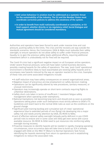- » Anti-union behaviour in aviation must be addressed as a systemic threat for the sustainability of the industry. The EU and the Member States must coordinate corrective policies to address this weakness of the system.
- » In order to benefit from multi-nationally coordinated or cumulative, or EU level support, whether directly or via regulatory relief, Social Dialogue and mutual agreement should be considered mandatory.

Authorities and operators have been forced to work under massive time and cost pressure, pushing safety to the limits. The crisis and the recovery are way outside the standards scenarios. Hence, the Commission, EASA & NAAs must redouble their safety oversight, to ensure operators do not allow safety to suffer under financial pressure. Equally, to re-gain the previous safety levels additional efforts, requiring additional investment (which is undoubtedly not for free) will be required.

The Covid-19 crisis had a significant negative impact on all European airline operators. Under severe financial pressure, some will have taken rushed business decisions, possibly creating hazards for the safety of operations. The new, 'post-Covid' operational environment is therefore likely to have exacerbated pre-existing safety hazards and to encompass new hazards induced by the way an operator reacted to the crisis. Examples of these risks and some associated mitigations include:

- A staff reduction may have safety consequences on several organisational areas;
- § Negative impact of precarious aircrew employment on safety decision-making;
- § Operations can be significantly altered by new procedures, sanitary measures, or unusual restrictions;
- § Operators may increasingly operate on short-term contracts requiring flights to unfamiliar destinations;
- § Safety short-cuts taken in terms of insufficient / inexistent fatigue safety management when operating under exemptions;
- National Exemptions risk becoming long-term and should end as soon as possible. Operations taking place under such Exemptions must strictly adhere to EASA's FTL Guidelines and revert back to the normal EASA rules as soon as the conditions on the ground change.
- Significant pilot training backlog and cumulative lack of crews' operational experience (due to extended periods of non-flying) risk developing into a major safety risk and needs priority attention by EASA, DG MOVE & NAAs;
- Lack of effective national safety oversight (already partly deficient in pre-COVID period) risks to endure and in some cases will likely get even worse with scarce available resource. DG MOVE & EASA need to put resources into reinforcing safety oversight during recovery.
- § Proactive measures to identify hazards will be needed in rapidly changing operating circumstances, since occurrence data will take time to build up. ECA is already engaged with EASA on the RNO TF (Return to Normal Operations Task Force), identifying the hazards stemming from return to operations and in establishing mitigations to reduce the associated risks.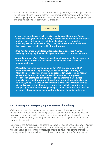§ The systematic and reinforced use of Safety Management Systems by operators, as well at strengthened NAA oversight of their proper implementation will be crucial to ensure ongoing and new hazards & risks are identified, adequately mitigated against and that mitigations are continuously improved.

#### **SOLUTIONS**

- » Strengthened safety oversight by NAAs and EASA will be the key. Safety deficiencies might be hard to identify, since they quite often only materialize and become visible when the safety net has broken, e.g. through an incident/accident. Enhanced Safety Management by operators is required too, as well as oversight thereof by the authorities.
- » Designing appropriate philosophy for: rule alleviations; strengthened training; recency requirements in a population short on recent experience.
- » Consideration of effect of reduced fees funded by volume of flying operation for ATM and NCAs/EASA. Is this model sustainable or does it need an emergency bridge.
- » Undertake resilience scenario planning at EASA and coordinated NCA level: What scenarios might emerge, and what packages of thought through emergency measures could be prepared in advance (in particular considering interaction of measures and unintended consequences). Scenarios might include operating through a pandemic, major global financial or economic downturn/disruption significant international armed conflict, geological events, and widespread climatic and weather volatility. General consideration of both severe reductions in flight operations, or a temporary requirement for a surge in flight volumes (either in total or in the event of reduced personnel or aircraft availability) should be undertaken.

#### **3.3. Pre-prepared emergency support measures for industry**

Whilst the present crisis and pandemic was not expected, it does encourage the reflection that it need not be something that isn't planned for. It should be possible to consider a range of shock scenarios for the industry (and indeed any other critical infrastructure industries), and design emergency policy packages that could provide appropriate support.

In particular the general scenarios described above for operational and safety regulation could also be considered at the economic level. This may also mean considering what financial health and contingency measures should be held by an airline or aviation company as a minimum, much as is considered in the banking and financial sector.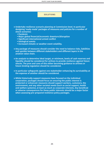- » Undertake resilience scenario planning at Commission level. In particular designing 'ready-made' packages of measures and policies for a number of shock scenarios:
	- § Pandemic
	- § Major global financial/economic downturn/disruption
	- § Significant international armed conflict
	- § Geological events
	- **Increased climatic or weather event volatility.**
- » Any package of measures should consider the need to balance risks, liabilities and upsides between different stakeholders and different layers in the aviation value chain.
- » An analysis to determine ideal target, or minimum, levels of cash reserves and liquidity should be considered for airlines to provide resilience against future shocks. The pros and cons of this either becoming guidance to airlines or future binding regulation should be considered.
- » In particular safeguards against one stakeholder enhancing its survivability at the expense of another should be considered.
- » Whilst historically support measures have focused on the individual corporation, packages should focus on ensuring the public interest is protected or enhanced: measures should support workers, customers, the environment, and any other societal needs (such as social support, health and welfare systems), at least as much as corporate interests. Any beneficial or adverse consequences for these public interests should be a major factor when assessing pre-prepared resilience policy packages.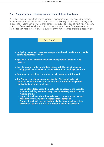#### 3.4. Supporting and retaining workforce and skills in downturns

A resilient system is one that retains sufficient manpower and skills needed to recover when the crisis is over. Pilots need resources to live, like any other worker, but might be exposed to longer unemployment than other sectors. Long periods of inactivity in a safety critical profession will entail a loss of skills that compromise the future recovery, or introduce new risks into it if external support of the maintenance of skills is not provided.